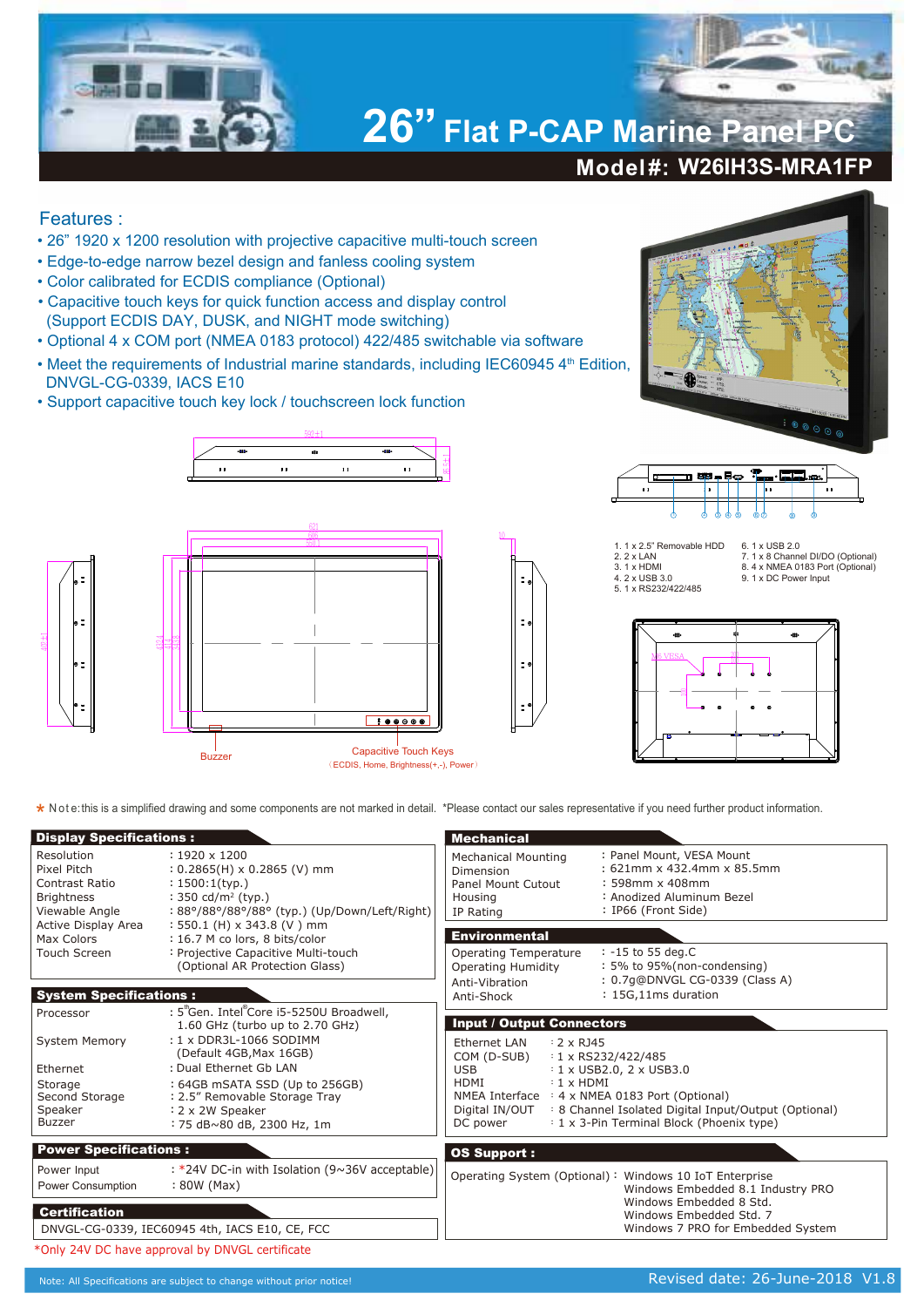

## Features :

- 26" 1920 x 1200 resolution with projective capacitive multi-touch screen
- Edge-to-edge narrow bezel design and fanless cooling system
- Color calibrated for ECDIS compliance (Optional)
- Capacitive touch keys for quick function access and display control (Support ECDIS DAY, DUSK, and NIGHT mode switching)
- Optional 4 x COM port (NMEA 0183 protocol) 422/485 switchable via software
- Meet the requirements of Industrial marine standards, including IEC60945 4<sup>th</sup> Edition, DNVGL-CG-0339, IACS E10
- Support capacitive touch key lock / touchscreen lock function



Buzzer

10





- 1. 1 x 2.5" Removable HDD 2. 2 x LAN 3. 1 x HDMI 4. 2 x USB 3.0 5. 1 x RS232/422/485
- 6. 1 x USB 2.0 7. 1 x 8 Channel DI/DO (Optional) 8. 4 x NMEA 0183 Port (Optional) 9. 1 x DC Power Input



**\*** Note: this is a simplified drawing and some components are not marked in detail. \*Please contact our sales representative if you need further product information.

(ECDIS, Home, Brightness(+,-), Power)

| <b>Display Specifications:</b>                                                                                                          |                                                                                                                                                                                                                                                                                                              | <b>Mechanical</b>                                                                           |                                                                                                                                                                                                                                                                                                                                                           |  |
|-----------------------------------------------------------------------------------------------------------------------------------------|--------------------------------------------------------------------------------------------------------------------------------------------------------------------------------------------------------------------------------------------------------------------------------------------------------------|---------------------------------------------------------------------------------------------|-----------------------------------------------------------------------------------------------------------------------------------------------------------------------------------------------------------------------------------------------------------------------------------------------------------------------------------------------------------|--|
| Resolution<br>Pixel Pitch<br>Contrast Ratio<br><b>Brightness</b><br>Viewable Angle<br>Active Display Area<br>Max Colors<br>Touch Screen | $: 1920 \times 1200$<br>$: 0.2865(H) \times 0.2865(V)$ mm<br>$: 1500:1$ (typ.)<br>: 350 cd/m <sup>2</sup> (typ.)<br>: 88°/88°/88°/88° (typ.) (Up/Down/Left/Right)<br>$: 550.1$ (H) x 343.8 (V) mm<br>: 16.7 M co lors, 8 bits/color<br>: Projective Capacitive Multi-touch<br>(Optional AR Protection Glass) | <b>Mechanical Mounting</b><br>Dimension<br>Panel Mount Cutout<br>Housing<br>IP Rating       | : Panel Mount, VESA Mount<br>: 621mm x 432.4mm x 85.5mm<br>$: 598$ mm x 408mm<br>: Anodized Aluminum Bezel<br>: IP66 (Front Side)                                                                                                                                                                                                                         |  |
|                                                                                                                                         |                                                                                                                                                                                                                                                                                                              | <b>Environmental</b><br><b>Operating Temperature</b><br><b>Operating Humidity</b>           | : -15 to 55 deg.C<br>: 5% to 95%(non-condensing)                                                                                                                                                                                                                                                                                                          |  |
| <b>System Specifications:</b>                                                                                                           |                                                                                                                                                                                                                                                                                                              | Anti-Vibration<br>Anti-Shock                                                                | : 0.7q@DNVGL CG-0339 (Class A)<br>: 15G,11ms duration                                                                                                                                                                                                                                                                                                     |  |
| Processor                                                                                                                               | : 5"Gen. Intel Core i5-5250U Broadwell,<br>1.60 GHz (turbo up to 2.70 GHz)                                                                                                                                                                                                                                   | <b>Input / Output Connectors</b>                                                            |                                                                                                                                                                                                                                                                                                                                                           |  |
| <b>System Memory</b><br>Ethernet<br>Storage<br>Second Storage<br>Speaker<br><b>Buzzer</b>                                               | : 1 x DDR3L-1066 SODIMM<br>(Default 4GB, Max 16GB)<br>: Dual Ethernet Gb LAN<br>: 64GB mSATA SSD (Up to 256GB)<br>: 2.5" Removable Storage Tray<br>: 2 x 2W Speaker<br>: 75 dB~80 dB, 2300 Hz, 1m                                                                                                            |                                                                                             | Ethernet LAN<br>$: 2 \times R$ 145<br>COM (D-SUB)<br>$: 1 \times$ RS232/422/485<br><b>USB</b><br>$: 1 \times$ USB2.0, 2 $\times$ USB3.0<br>HDMI<br>$: 1 \times HDMI$<br>NMEA Interface : 4 x NMEA 0183 Port (Optional)<br>: 8 Channel Isolated Digital Input/Output (Optional)<br>Digital IN/OUT<br>: 1 x 3-Pin Terminal Block (Phoenix type)<br>DC power |  |
| <b>Power Specifications:</b>                                                                                                            |                                                                                                                                                                                                                                                                                                              | <b>OS Support:</b>                                                                          |                                                                                                                                                                                                                                                                                                                                                           |  |
| Power Input<br>Power Consumption                                                                                                        | : *24V DC-in with Isolation (9~36V acceptable)<br>: 80W (Max)                                                                                                                                                                                                                                                | Operating System (Optional): Windows 10 IoT Enterprise<br>Windows Embedded 8.1 Industry PRO |                                                                                                                                                                                                                                                                                                                                                           |  |
| <b>Certification</b><br>DNVGL-CG-0339, IEC60945 4th, IACS E10, CE, FCC                                                                  |                                                                                                                                                                                                                                                                                                              |                                                                                             | Windows Embedded 8 Std.<br>Windows Embedded Std. 7<br>Windows 7 PRO for Embedded System                                                                                                                                                                                                                                                                   |  |
|                                                                                                                                         | *Only 24V DC have approval by DNVGL certificate                                                                                                                                                                                                                                                              |                                                                                             |                                                                                                                                                                                                                                                                                                                                                           |  |